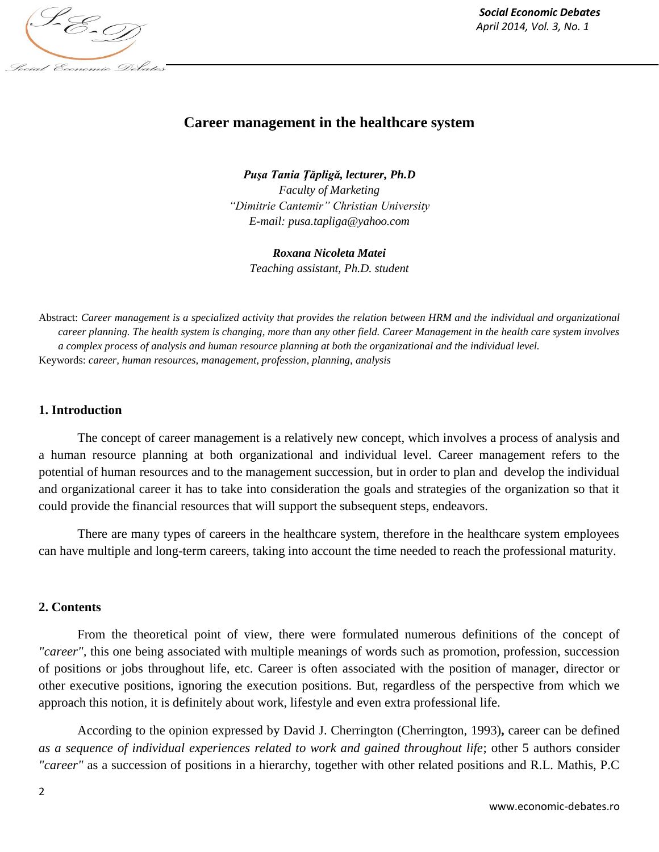

# **Career management in the healthcare system**

*Puşa Tania Ţăpligă, lecturer, Ph.D Faculty of Marketing "Dimitrie Cantemir" Christian University E-mail: pusa.tapliga@yahoo.com*

*Roxana Nicoleta Matei Teaching assistant, Ph.D. student*

Abstract: *Career management is a specialized activity that provides the relation between HRM and the individual and organizational career planning. The health system is changing, more than any other field. Career Management in the health care system involves a complex process of analysis and human resource planning at both the organizational and the individual level.* Keywords: *career, human resources, management, profession, planning, analysis*

### **1. Introduction**

The concept of career management is a relatively new concept, which involves a process of analysis and a human resource planning at both organizational and individual level. Career management refers to the potential of human resources and to the management succession, but in order to plan and develop the individual and organizational career it has to take into consideration the goals and strategies of the organization so that it could provide the financial resources that will support the subsequent steps, endeavors.

There are many types of careers in the healthcare system, therefore in the healthcare system employees can have multiple and long-term careers, taking into account the time needed to reach the professional maturity.

## **2. Contents**

From the theoretical point of view, there were formulated numerous definitions of the concept of *"career",* this one being associated with multiple meanings of words such as promotion, profession, succession of positions or jobs throughout life, etc. Career is often associated with the position of manager, director or other executive positions, ignoring the execution positions. But, regardless of the perspective from which we approach this notion, it is definitely about work, lifestyle and even extra professional life.

According to the opinion expressed by David J. Cherrington (Cherrington, 1993)**,** career can be defined *as a sequence of individual experiences related to work and gained throughout life*; other 5 authors consider *"career"* as a succession of positions in a hierarchy, together with other related positions and R.L. Mathis, P.C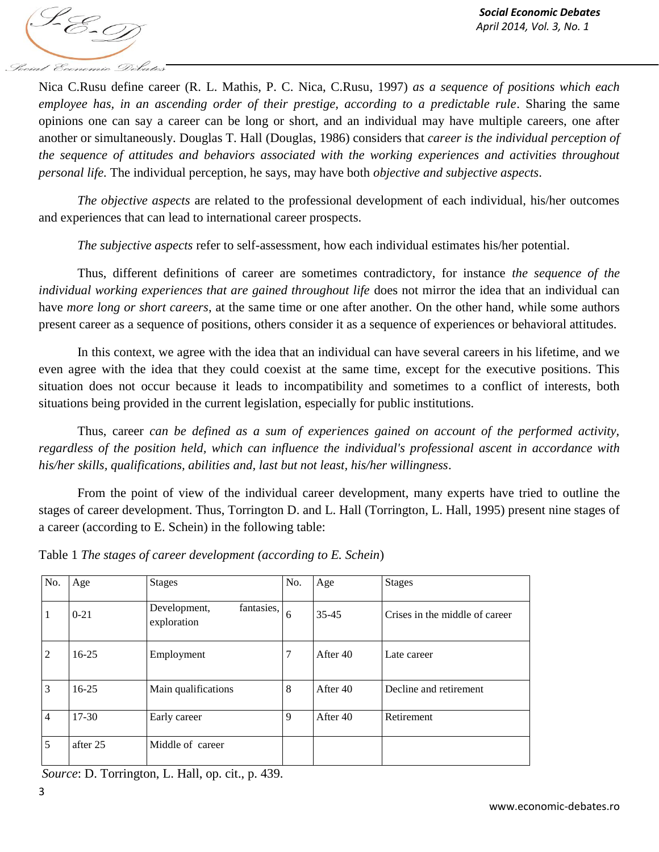Nica C.Rusu define career (R. L. Mathis, P. C. Nica, C.Rusu, 1997) *as a sequence of positions which each employee has, in an ascending order of their prestige, according to a predictable rule. Sharing the same* opinions one can say a career can be long or short, and an individual may have multiple careers, one after another or simultaneously. Douglas T. Hall (Douglas, 1986) considers that *career is the individual perception of the sequence of attitudes and behaviors associated with the working experiences and activities throughout personal life.* The individual perception, he says, may have both *objective and subjective aspects*.

*The objective aspects* are related to the professional development of each individual, his/her outcomes and experiences that can lead to international career prospects.

*The subjective aspects* refer to self-assessment, how each individual estimates his/her potential.

Thus, different definitions of career are sometimes contradictory, for instance *the sequence of the individual working experiences that are gained throughout life* does not mirror the idea that an individual can have *more long or short careers*, at the same time or one after another. On the other hand, while some authors present career as a sequence of positions, others consider it as a sequence of experiences or behavioral attitudes.

In this context, we agree with the idea that an individual can have several careers in his lifetime, and we even agree with the idea that they could coexist at the same time, except for the executive positions. This situation does not occur because it leads to incompatibility and sometimes to a conflict of interests, both situations being provided in the current legislation, especially for public institutions.

Thus, career *can be defined as a sum of experiences gained on account of the performed activity, regardless of the position held, which can influence the individual's professional ascent in accordance with his/her skills, qualifications, abilities and, last but not least, his/her willingness*.

From the point of view of the individual career development, many experts have tried to outline the stages of career development. Thus, Torrington D. and L. Hall (Torrington, L. Hall, 1995) present nine stages of a career (according to E. Schein) in the following table:

| No.            | Age       | <b>Stages</b>                             | No. | Age      | <b>Stages</b>                  |
|----------------|-----------|-------------------------------------------|-----|----------|--------------------------------|
| 1              | $0 - 21$  | fantasies,<br>Development,<br>exploration | 6   | 35-45    | Crises in the middle of career |
| $\overline{2}$ | $16 - 25$ | Employment                                |     | After 40 | Late career                    |
| 3              | $16 - 25$ | Main qualifications                       | 8   | After 40 | Decline and retirement         |
| $\overline{4}$ | $17 - 30$ | Early career                              | 9   | After 40 | Retirement                     |
| 5              | after 25  | Middle of career                          |     |          |                                |

Table 1 *The stages of career development (according to E. Schein*)

*Source*: D. Torrington, L. Hall, op. cit., p. 439.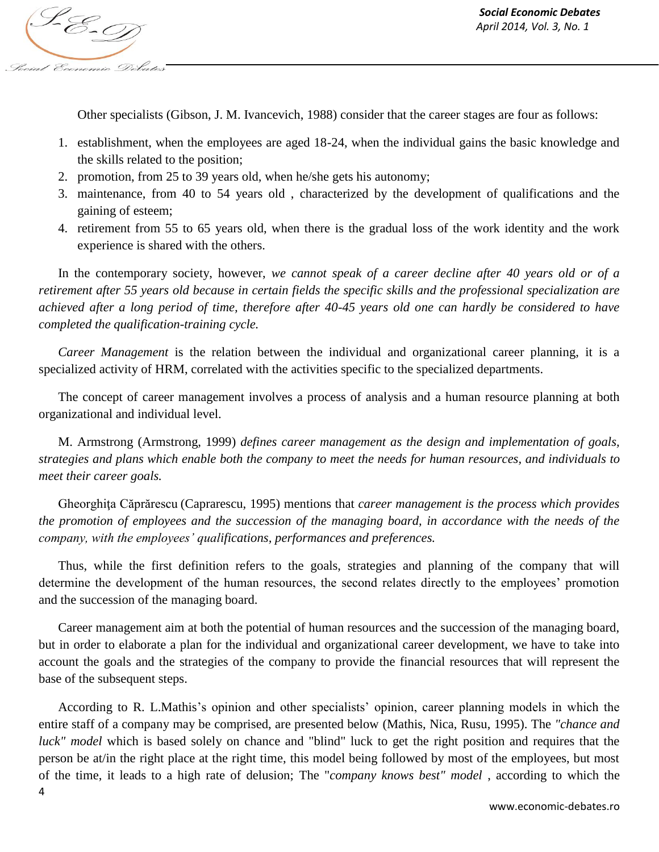Other specialists (Gibson, J. M. Ivancevich, 1988) consider that the career stages are four as follows:

- 1. establishment, when the employees are aged 18-24, when the individual gains the basic knowledge and the skills related to the position;
- 2. promotion, from 25 to 39 years old, when he/she gets his autonomy;
- 3. maintenance, from 40 to 54 years old , characterized by the development of qualifications and the gaining of esteem;
- 4. retirement from 55 to 65 years old, when there is the gradual loss of the work identity and the work experience is shared with the others.

In the contemporary society, however, *we cannot speak of a career decline after 40 years old or of a retirement after 55 years old because in certain fields the specific skills and the professional specialization are achieved after a long period of time, therefore after 40-45 years old one can hardly be considered to have completed the qualification-training cycle.*

*Career Management* is the relation between the individual and organizational career planning, it is a specialized activity of HRM, correlated with the activities specific to the specialized departments.

The concept of career management involves a process of analysis and a human resource planning at both organizational and individual level.

M. Armstrong (Armstrong, 1999) *defines career management as the design and implementation of goals, strategies and plans which enable both the company to meet the needs for human resources, and individuals to meet their career goals.*

Gheorghiţa Căprărescu (Caprarescu, 1995) mentions that *career management is the process which provides the promotion of employees and the succession of the managing board, in accordance with the needs of the company, with the employees' qualifications, performances and preferences.*

Thus, while the first definition refers to the goals, strategies and planning of the company that will determine the development of the human resources, the second relates directly to the employees' promotion and the succession of the managing board.

Career management aim at both the potential of human resources and the succession of the managing board, but in order to elaborate a plan for the individual and organizational career development, we have to take into account the goals and the strategies of the company to provide the financial resources that will represent the base of the subsequent steps.

According to R. L.Mathis's opinion and other specialists' opinion, career planning models in which the entire staff of a company may be comprised, are presented below (Mathis, Nica, Rusu, 1995). The *"chance and luck" model* which is based solely on chance and "blind" luck to get the right position and requires that the person be at/in the right place at the right time, this model being followed by most of the employees, but most of the time, it leads to a high rate of delusion; The "*company knows best" model* , according to which the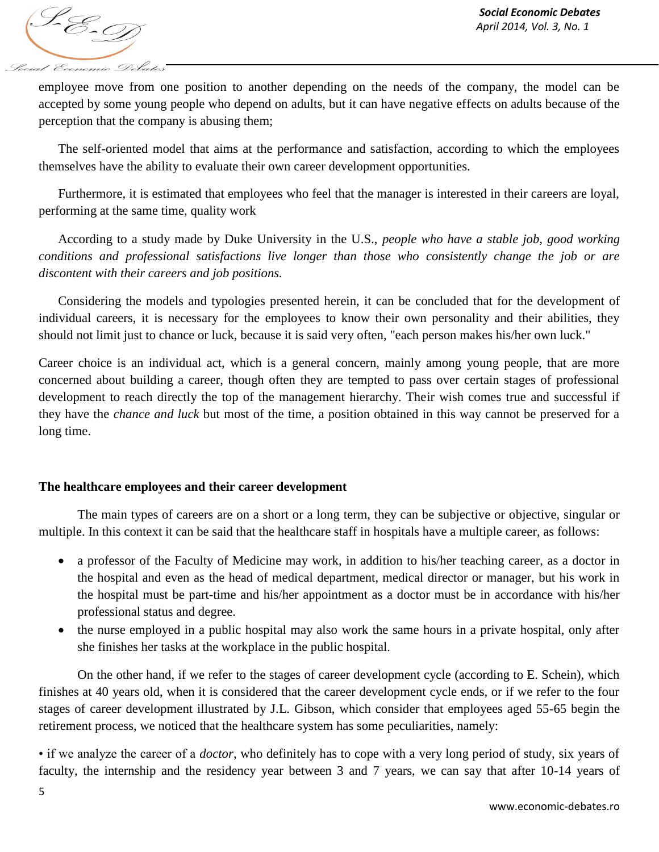S-E-D Social Economic Debates

employee move from one position to another depending on the needs of the company, the model can be accepted by some young people who depend on adults, but it can have negative effects on adults because of the perception that the company is abusing them;

The self-oriented model that aims at the performance and satisfaction, according to which the employees themselves have the ability to evaluate their own career development opportunities.

Furthermore, it is estimated that employees who feel that the manager is interested in their careers are loyal, performing at the same time, quality work

According to a study made by Duke University in the U.S., *people who have a stable job, good working conditions and professional satisfactions live longer than those who consistently change the job or are discontent with their careers and job positions.*

Considering the models and typologies presented herein, it can be concluded that for the development of individual careers, it is necessary for the employees to know their own personality and their abilities, they should not limit just to chance or luck, because it is said very often, "each person makes his/her own luck."

Career choice is an individual act, which is a general concern, mainly among young people, that are more concerned about building a career, though often they are tempted to pass over certain stages of professional development to reach directly the top of the management hierarchy. Their wish comes true and successful if they have the *chance and luck* but most of the time, a position obtained in this way cannot be preserved for a long time.

### **The healthcare employees and their career development**

The main types of careers are on a short or a long term, they can be subjective or objective, singular or multiple. In this context it can be said that the healthcare staff in hospitals have a multiple career, as follows:

- a professor of the Faculty of Medicine may work, in addition to his/her teaching career, as a doctor in the hospital and even as the head of medical department, medical director or manager, but his work in the hospital must be part-time and his/her appointment as a doctor must be in accordance with his/her professional status and degree.
- the nurse employed in a public hospital may also work the same hours in a private hospital, only after she finishes her tasks at the workplace in the public hospital.

On the other hand, if we refer to the stages of career development cycle (according to E. Schein), which finishes at 40 years old, when it is considered that the career development cycle ends, or if we refer to the four stages of career development illustrated by J.L. Gibson, which consider that employees aged 55-65 begin the retirement process, we noticed that the healthcare system has some peculiarities, namely:

• if we analyze the career of a *doctor*, who definitely has to cope with a very long period of study, six years of faculty, the internship and the residency year between 3 and 7 years, we can say that after 10-14 years of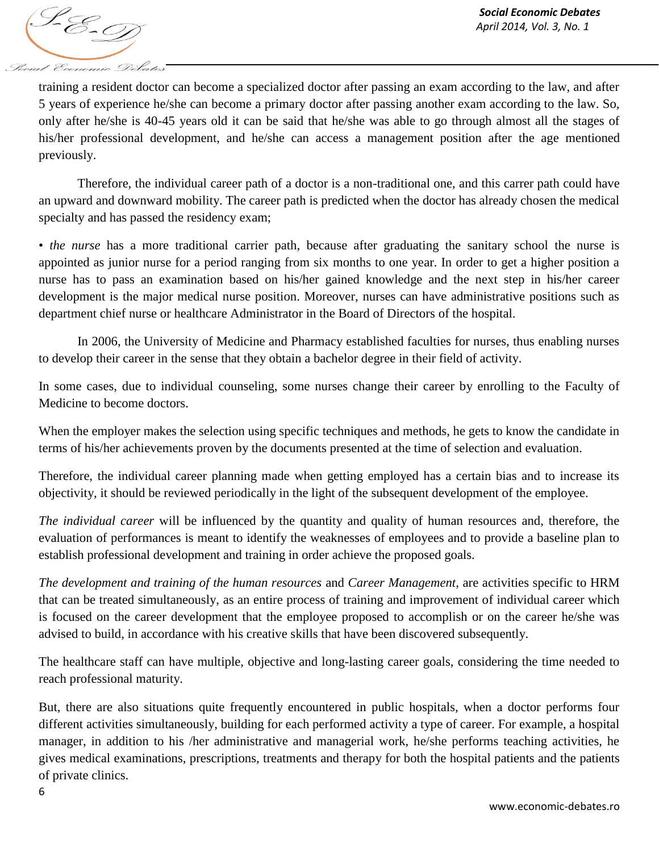

training a resident doctor can become a specialized doctor after passing an exam according to the law, and after 5 years of experience he/she can become a primary doctor after passing another exam according to the law. So, only after he/she is 40-45 years old it can be said that he/she was able to go through almost all the stages of his/her professional development, and he/she can access a management position after the age mentioned previously.

Therefore, the individual career path of a doctor is a non-traditional one, and this carrer path could have an upward and downward mobility. The career path is predicted when the doctor has already chosen the medical specialty and has passed the residency exam;

• *the nurse* has a more traditional carrier path, because after graduating the sanitary school the nurse is appointed as junior nurse for a period ranging from six months to one year. In order to get a higher position a nurse has to pass an examination based on his/her gained knowledge and the next step in his/her career development is the major medical nurse position. Moreover, nurses can have administrative positions such as department chief nurse or healthcare Administrator in the Board of Directors of the hospital.

In 2006, the University of Medicine and Pharmacy established faculties for nurses, thus enabling nurses to develop their career in the sense that they obtain a bachelor degree in their field of activity.

In some cases, due to individual counseling, some nurses change their career by enrolling to the Faculty of Medicine to become doctors.

When the employer makes the selection using specific techniques and methods, he gets to know the candidate in terms of his/her achievements proven by the documents presented at the time of selection and evaluation.

Therefore, the individual career planning made when getting employed has a certain bias and to increase its objectivity, it should be reviewed periodically in the light of the subsequent development of the employee.

*The individual career* will be influenced by the quantity and quality of human resources and, therefore, the evaluation of performances is meant to identify the weaknesses of employees and to provide a baseline plan to establish professional development and training in order achieve the proposed goals.

*The development and training of the human resources* and *Career Management*, are activities specific to HRM that can be treated simultaneously, as an entire process of training and improvement of individual career which is focused on the career development that the employee proposed to accomplish or on the career he/she was advised to build, in accordance with his creative skills that have been discovered subsequently.

The healthcare staff can have multiple, objective and long-lasting career goals, considering the time needed to reach professional maturity.

But, there are also situations quite frequently encountered in public hospitals, when a doctor performs four different activities simultaneously, building for each performed activity a type of career. For example, a hospital manager, in addition to his /her administrative and managerial work, he/she performs teaching activities, he gives medical examinations, prescriptions, treatments and therapy for both the hospital patients and the patients of private clinics.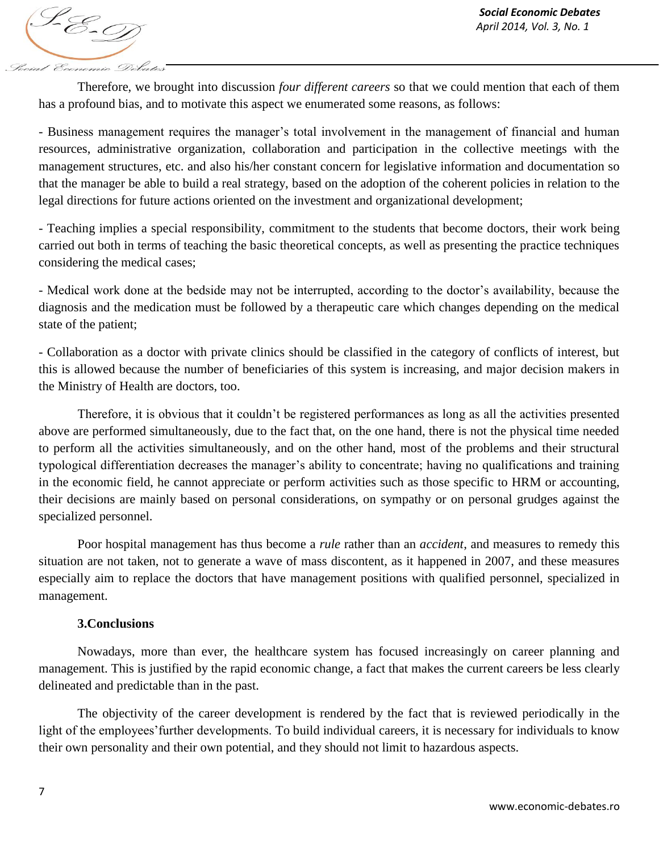S-E-D Social Economic Debates

Therefore, we brought into discussion *four different careers* so that we could mention that each of them has a profound bias, and to motivate this aspect we enumerated some reasons, as follows:

- Business management requires the manager's total involvement in the management of financial and human resources, administrative organization, collaboration and participation in the collective meetings with the management structures, etc. and also his/her constant concern for legislative information and documentation so that the manager be able to build a real strategy, based on the adoption of the coherent policies in relation to the legal directions for future actions oriented on the investment and organizational development;

- Teaching implies a special responsibility, commitment to the students that become doctors, their work being carried out both in terms of teaching the basic theoretical concepts, as well as presenting the practice techniques considering the medical cases;

- Medical work done at the bedside may not be interrupted, according to the doctor's availability, because the diagnosis and the medication must be followed by a therapeutic care which changes depending on the medical state of the patient;

- Collaboration as a doctor with private clinics should be classified in the category of conflicts of interest, but this is allowed because the number of beneficiaries of this system is increasing, and major decision makers in the Ministry of Health are doctors, too.

Therefore, it is obvious that it couldn't be registered performances as long as all the activities presented above are performed simultaneously, due to the fact that, on the one hand, there is not the physical time needed to perform all the activities simultaneously, and on the other hand, most of the problems and their structural typological differentiation decreases the manager's ability to concentrate; having no qualifications and training in the economic field, he cannot appreciate or perform activities such as those specific to HRM or accounting, their decisions are mainly based on personal considerations, on sympathy or on personal grudges against the specialized personnel.

Poor hospital management has thus become a *rule* rather than an *accident*, and measures to remedy this situation are not taken, not to generate a wave of mass discontent, as it happened in 2007, and these measures especially aim to replace the doctors that have management positions with qualified personnel, specialized in management.

### **3.Conclusions**

Nowadays, more than ever, the healthcare system has focused increasingly on career planning and management. This is justified by the rapid economic change, a fact that makes the current careers be less clearly delineated and predictable than in the past.

The objectivity of the career development is rendered by the fact that is reviewed periodically in the light of the employees'further developments. To build individual careers, it is necessary for individuals to know their own personality and their own potential, and they should not limit to hazardous aspects.